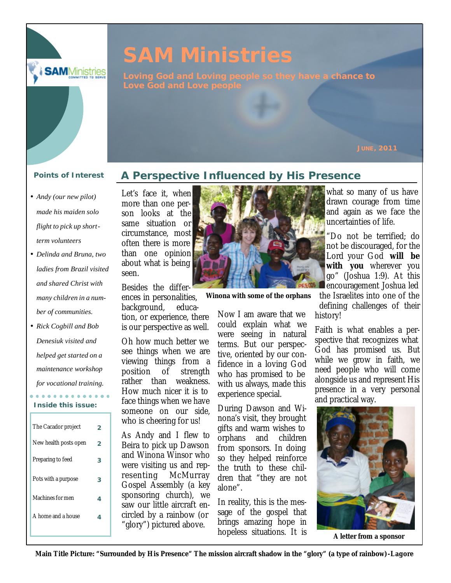

# **SAM Ministries**

**Loving God and Loving people so they have a chance to** 

- *Andy (our new pilot) made his maiden solo flight to pick up shortterm volunteers*
- *Delinda and Bruna, two ladies from Brazil visited and shared Christ with many children in a number of communities.*
- *Rick Cogbill and Bob Denesiuk visited and helped get started on a maintenance workshop for vocational training.*

#### . . . . . . . . . . . . . . **Inside this issue:**

| The Cacador project   |   |
|-----------------------|---|
| New health posts open | 2 |
| Preparing to feed     | 3 |
| Pots with a purpose   | З |
| Machines for men      | 4 |
| A home and a house    | 4 |
|                       |   |

# **Points of Interest A Perspective Influenced by His Presence**

Let's face it, when more than one person looks at the same situation or circumstance, most often there is more than one opinion about what is being seen.

Besides the differences in personalities, background, education, or experience, there is our perspective as well.

Oh how much better we see things when we are viewing things from a position of strength rather than weakness. How much nicer it is to face things when we have someone on our side, who is cheering for us!

As Andy and I flew to Beira to pick up Dawson and Winona Winsor who were visiting us and representing McMurray Gospel Assembly (a key sponsoring church), we saw our little aircraft encircled by a rainbow (or "glory") pictured above.



**Winona with some of the orphans**

Now I am aware that we could explain what we were seeing in natural terms. But our perspective, oriented by our confidence in a loving God who has promised to be with us always, made this experience special.

During Dawson and Winona's visit, they brought gifts and warm wishes to orphans and children from sponsors. In doing so they helped reinforce the truth to these children that "they are not alone".

In reality, this is the message of the gospel that brings amazing hope in hopeless situations. It is

what so many of us have drawn courage from time and again as we face the uncertainties of life.

"Do not be terrified; do not be discouraged, for the Lord your God **will be with you** wherever you go" (Joshua 1:9). At this encouragement Joshua led

the Israelites into one of the defining challenges of their history!

Faith is what enables a perspective that recognizes what God has promised us. But while we grow in faith, we need people who will come alongside us and represent His presence in a very personal and practical way.



**A letter from a sponsor**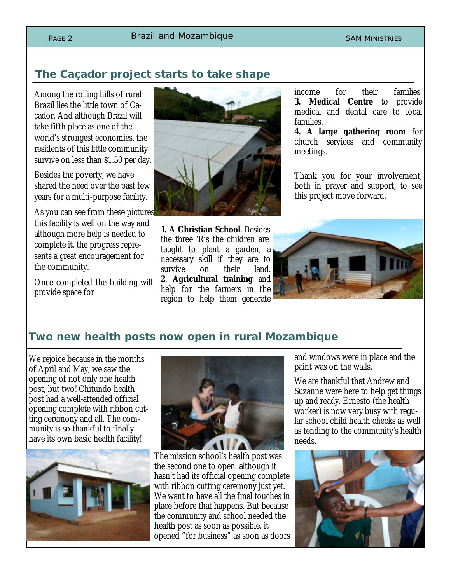# **The Caçador project starts to take shape**

Among the rolling hills of rural Brazil lies the little town of Caçador. And although Brazil will take fifth place as one of the world's strongest economies, the residents of this little community survive on less than \$1.50 per day.

Besides the poverty, we have shared the need over the past few years for a multi-purpose facility.

As you can see from these pictures this facility is well on the way and although more help is needed to complete it, the progress represents a great encouragement for the community.

Once completed the building will provide space for



**1. A Christian School**. Besides the three 'R's the children are taught to plant a garden, a necessary skill if they are to survive on their land. **2. Agricultural training** and help for the farmers in the region to help them generate

income for their families. **3. Medical Centre** to provide medical and dental care to local families.

**4. A large gathering room** for church services and community meetings.

Thank you for your involvement, both in prayer and support, to see this project move forward.



### **Two new health posts now open in rural Mozambique**

We rejoice because in the months of April and May, we saw the opening of not only one health post, but two! Chitundo health post had a well-attended official opening complete with ribbon cutting ceremony and all. The community is so thankful to finally have its own basic health facility!





The mission school's health post was the second one to open, although it hasn't had its official opening complete with ribbon cutting ceremony just yet. We want to have all the final touches in place before that happens. But because the community and school needed the health post as soon as possible, it opened "for business" as soon as doors

and windows were in place and the paint was on the walls.

We are thankful that Andrew and Suzanne were here to help get things up and ready. Ernesto (the health worker) is now very busy with regular school child health checks as well as tending to the community's health needs.

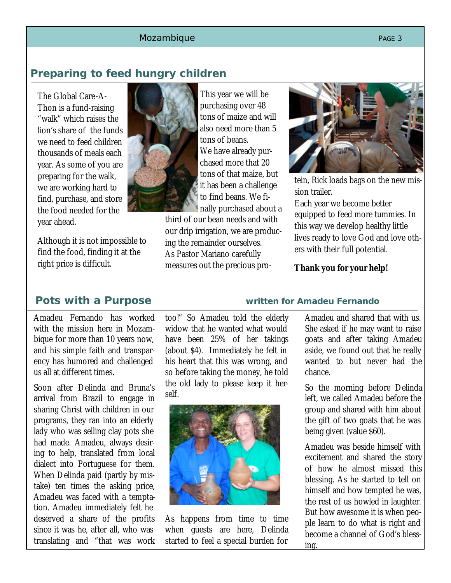### Mozambique et al. et al. et al. et al. et al. et al. et al. et al. et al. et al. et al. et al. et al. et al. e

# **Preparing to feed hungry children**

The Global Care-A-Thon is a fund-raising "walk" which raises the lion's share of the funds we need to feed children thousands of meals each year. As some of you are preparing for the walk, we are working hard to find, purchase, and store the food needed for the year ahead.

Although it is not impossible to find the food, finding it at the right price is difficult.

Amadeu Fernando has worked with the mission here in Mozambique for more than 10 years now, and his simple faith and transparency has humored and challenged us all at different times.

Soon after Delinda and Bruna's arrival from Brazil to engage in sharing Christ with children in our programs, they ran into an elderly lady who was selling clay pots she had made. Amadeu, always desiring to help, translated from local dialect into Portuguese for them. When Delinda paid (partly by mistake) ten times the asking price, Amadeu was faced with a temptation. Amadeu immediately felt he deserved a share of the profits since it was he, after all, who was translating and "that was work

too!" So Amadeu told the elderly widow that he wanted what would have been 25% of her takings (about \$4). Immediately he felt in his heart that this was wrong, and so before taking the money, he told the old lady to please keep it herself.



As happens from time to time when guests are here, Delinda started to feel a special burden for

### **Pots with a Purpose written for Amadeu Fernando**

Amadeu and shared that with us. She asked if he may want to raise goats and after taking Amadeu aside, we found out that he really wanted to but never had the chance.

So the morning before Delinda left, we called Amadeu before the group and shared with him about the gift of two goats that he was being given (value \$60).

Amadeu was beside himself with excitement and shared the story of how he almost missed this blessing. As he started to tell on himself and how tempted he was, the rest of us howled in laughter. But how awesome it is when people learn to do what is right and become a channel of God's blessing.



This year we will be purchasing over 48 tons of maize and will also need more than 5 tons of beans. We have already purchased more that 20 tons of that maize, but it has been a challenge to find beans. We finally purchased about a

third of our bean needs and with our drip irrigation, we are producing the remainder ourselves. As Pastor Mariano carefully measures out the precious pro-



tein, Rick loads bags on the new mission trailer.

Each year we become better equipped to feed more tummies. In this way we develop healthy little lives ready to love God and love others with their full potential.

**Thank you for your help!**